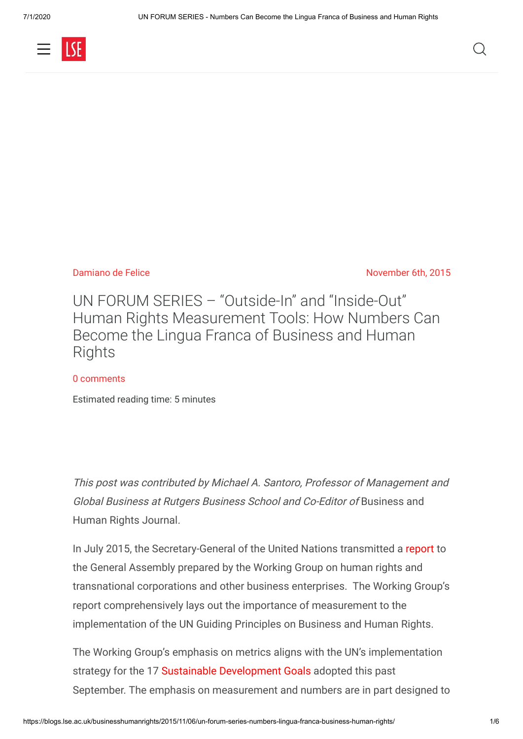

### Damiano de Felice **November 6th, 2015**

UN FORUM SERIES – "Outside-In" and "Inside-Out" Human Rights Measurement Tools: How Numbers Can Become the Lingua Franca of Business and Human **Rights** 

### [0 comments](#page-3-0)

Estimated reading time: 5 minutes

This post was contributed by Michael A. Santoro, Professor of Management and Global Business at Rutgers Business School and Co-Editor of Business and Human Rights Journal.

In July 2015, the Secretary-General of the United Nations transmitted a [report](http://www.un.org/en/ga/search/view_doc.asp?symbol=A/70/216) to the General Assembly prepared by the Working Group on human rights and transnational corporations and other business enterprises. The Working Group's report comprehensively lays out the importance of measurement to the implementation of the UN Guiding Principles on Business and Human Rights.

The Working Group's emphasis on metrics aligns with the UN's implementation strategy for the 17 [Sustainable Development Goals](http://www.un.org/sustainabledevelopment/sustainable-development-goals/) adopted this past September. The emphasis on measurement and numbers are in part designed to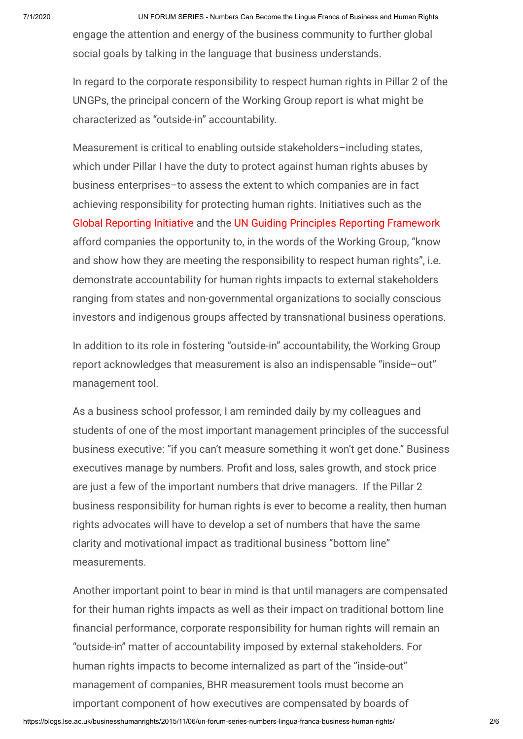engage the attention and energy of the business community to further global social goals by talking in the language that business understands.

In regard to the corporate responsibility to respect human rights in Pillar 2 of the UNGPs, the principal concern of the Working Group report is what might be characterized as "outside-in" accountability.

Measurement is critical to enabling outside stakeholders–including states, which under Pillar I have the duty to protect against human rights abuses by business enterprises–to assess the extent to which companies are in fact achieving responsibility for protecting human rights. Initiatives such as the [Global Reporting Initiative](https://www.globalreporting.org/resourcelibrary/G3.1-Human-Rights-Indicator-Protocol.pdf) and the [UN Guiding Principles Reporting Framework](http://www.ungpreporting.org/) afford companies the opportunity to, in the words of the Working Group, "know and show how they are meeting the responsibility to respect human rights", i.e. demonstrate accountability for human rights impacts to external stakeholders ranging from states and non-governmental organizations to socially conscious investors and indigenous groups affected by transnational business operations.

In addition to its role in fostering "outside-in" accountability, the Working Group report acknowledges that measurement is also an indispensable "inside–out" management tool.

As a business school professor, I am reminded daily by my colleagues and students of one of the most important management principles of the successful business executive: "if you can't measure something it won't get done." Business executives manage by numbers. Profit and loss, sales growth, and stock price are just a few of the important numbers that drive managers. If the Pillar 2 business responsibility for human rights is ever to become a reality, then human rights advocates will have to develop a set of numbers that have the same clarity and motivational impact as traditional business "bottom line" measurements.

Another important point to bear in mind is that until managers are compensated for their human rights impacts as well as their impact on traditional bottom line financial performance, corporate responsibility for human rights will remain an "outside-in" matter of accountability imposed by external stakeholders. For human rights impacts to become internalized as part of the "inside-out" management of companies, BHR measurement tools must become an important component of how executives are compensated by boards of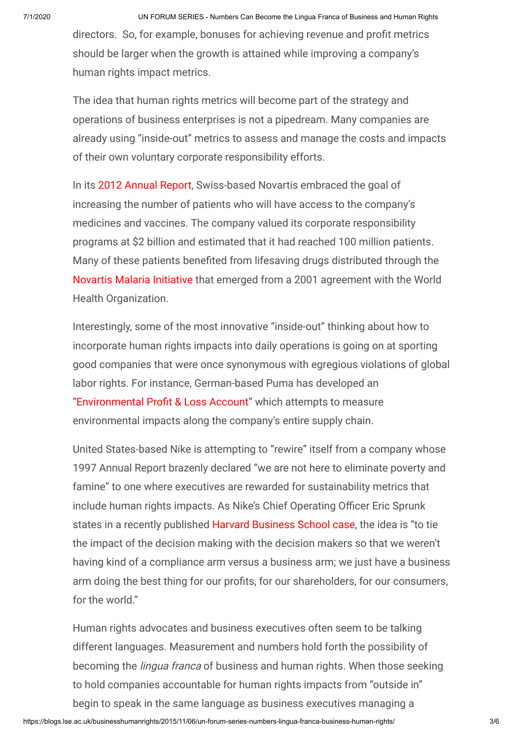directors. So, for example, bonuses for achieving revenue and profit metrics should be larger when the growth is attained while improving a company's human rights impact metrics.

The idea that human rights metrics will become part of the strategy and operations of business enterprises is not a pipedream. Many companies are already using "inside-out" metrics to assess and manage the costs and impacts of their own voluntary corporate responsibility efforts.

In its [2012 Annual Report](https://www.novartis.com/sites/www.novartis.com/files/novartis-annual-report-2012-en.pdf), Swiss-based Novartis embraced the goal of increasing the number of patients who will have access to the company's medicines and vaccines. The company valued its corporate responsibility programs at \$2 billion and estimated that it had reached 100 million patients. Many of these patients benefited from lifesaving drugs distributed through the [Novartis Malaria Initiative](http://www.malaria.novartis.com/) that emerged from a 2001 agreement with the World Health Organization.

Interestingly, some of the most innovative "inside-out" thinking about how to incorporate human rights impacts into daily operations is going on at sporting good companies that were once synonymous with egregious violations of global labor rights. For instance, German-based Puma has developed an "Environmental Profit & Loss Account" which attempts to measure environmental impacts along the company's entire supply chain.

United States-based Nike is attempting to "rewire" itself from a company whose 1997 Annual Report brazenly declared "we are not here to eliminate poverty and famine" to one where executives are rewarded for sustainability metrics that include human rights impacts. As Nike's Chief Operating Officer Eric Sprunk states in a recently published [Harvard Business School case,](https://hbr.org/product/governance-and-sustainability-at-nike-a/313146-PDF-ENG) the idea is "to tie the impact of the decision making with the decision makers so that we weren't having kind of a compliance arm versus a business arm; we just have a business arm doing the best thing for our profits, for our shareholders, for our consumers, for the world."

Human rights advocates and business executives often seem to be talking different languages. Measurement and numbers hold forth the possibility of becoming the lingua franca of business and human rights. When those seeking to hold companies accountable for human rights impacts from "outside in" begin to speak in the same language as business executives managing a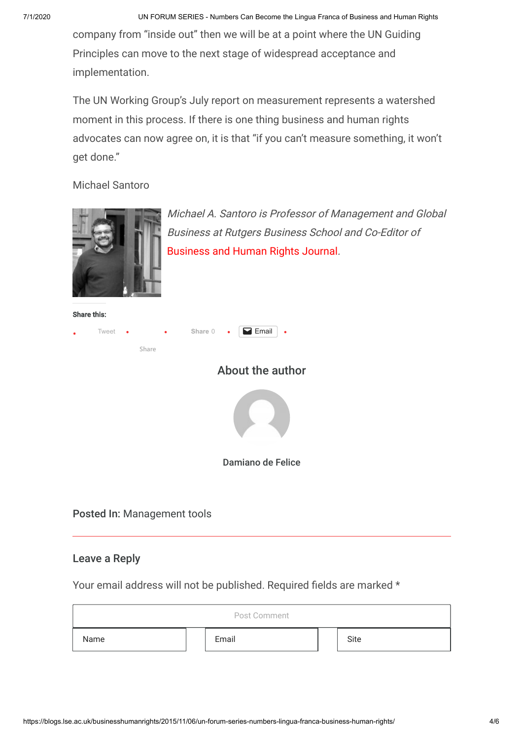7/1/2020 UN FORUM SERIES - Numbers Can Become the Lingua Franca of Business and Human Rights

company from "inside out" then we will be at a point where the UN Guiding Principles can move to the next stage of widespread acceptance and implementation.

The UN Working Group's July report on measurement represents a watershed moment in this process. If there is one thing business and human rights advocates can now agree on, it is that "if you can't measure something, it won't get done."

Michael Santoro



Michael A. Santoro is Professor of Management and Global Business at Rutgers Business School and Co-Editor of [Business and Human Rights Journal](http://journals.cambridge.org/action/displayJournal?jid=BHJ).

```
Share this:
```

| ٠ | Tweet<br>$\bullet$ | ٠     | Share 0<br>$\bullet$ | $\overline{\phantom{a}}$ Email<br>$\bullet$ |  |
|---|--------------------|-------|----------------------|---------------------------------------------|--|
|   |                    | Share |                      |                                             |  |
|   |                    |       |                      | About the author                            |  |
|   |                    |       |                      |                                             |  |
|   |                    |       |                      | Damiano de Felice                           |  |

# Posted In: Management tools

## <span id="page-3-0"></span>Leave a Reply

Your email address will not be published. Required fields are marked \*

| Post Comment |       |      |  |  |  |
|--------------|-------|------|--|--|--|
| Name         | Email | Site |  |  |  |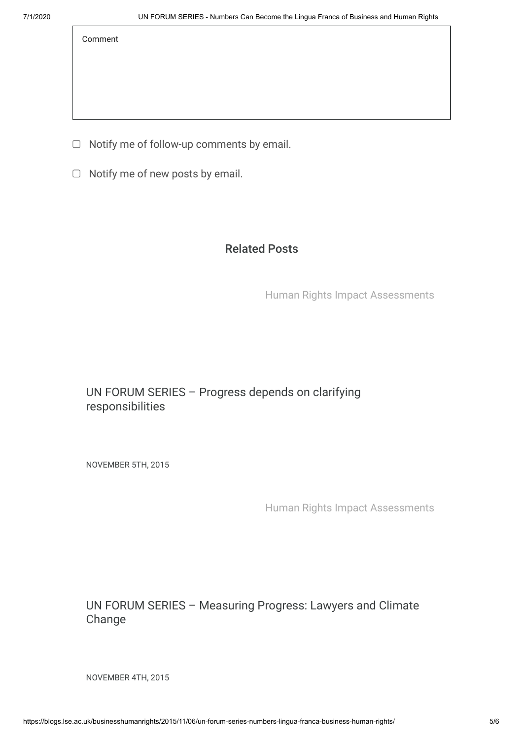Comment

- $\Box$  Notify me of follow-up comments by email.
- $\Box$  Notify me of new posts by email.

## Related Posts

Human Rights Impact Assessments

# [UN FORUM SERIES – Progress depends on clarifying](https://blogs.lse.ac.uk/businesshumanrights/2015/11/05/un-forum-series-progress-depends-on-clarifying-responsibilities/) responsibilities

NOVEMBER 5TH, 2015

Human Rights Impact Assessments

[UN FORUM SERIES – Measuring Progress: Lawyers and Climate](https://blogs.lse.ac.uk/businesshumanrights/2015/11/04/un-forum-series-measuring-progress-lawyers-and-climate-change/) Change

NOVEMBER 4TH, 2015